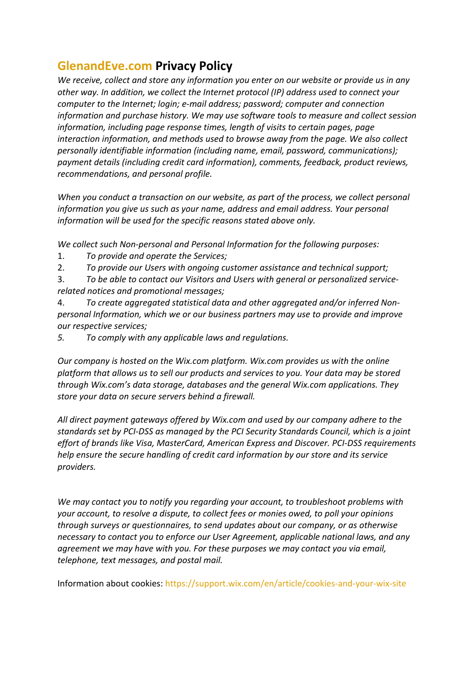## **GlenandEve.com Privacy Policy**

*We receive, collect and store any information you enter on our website or provide us in any other way. In addition, we collect the Internet protocol (IP) address used to connect your computer to the Internet; login; e-mail address; password; computer and connection information and purchase history. We may use software tools to measure and collect session information, including page response times, length of visits to certain pages, page interaction information, and methods used to browse away from the page. We also collect personally identifiable information (including name, email, password, communications); payment details (including credit card information), comments, feedback, product reviews, recommendations, and personal profile.*

*When you conduct a transaction on our website, as part of the process, we collect personal information you give us such as your name, address and email address. Your personal information will be used for the specific reasons stated above only.*

*We collect such Non-personal and Personal Information for the following purposes:*

- 1. *To provide and operate the Services;*
- 2. *To provide our Users with ongoing customer assistance and technical support;*
- 3. *To be able to contact our Visitors and Users with general or personalized servicerelated notices and promotional messages;*
- 4. *To create aggregated statistical data and other aggregated and/or inferred Nonpersonal Information, which we or our business partners may use to provide and improve our respective services;*
- *5. To comply with any applicable laws and regulations.*

*Our company is hosted on the Wix.com platform. Wix.com provides us with the online platform that allows us to sell our products and services to you. Your data may be stored through Wix.com's data storage, databases and the general Wix.com applications. They store your data on secure servers behind a firewall.*

*All direct payment gateways offered by Wix.com and used by our company adhere to the standards set by PCI-DSS as managed by the PCI Security Standards Council, which is a joint effort of brands like Visa, MasterCard, American Express and Discover. PCI-DSS requirements help ensure the secure handling of credit card information by our store and its service providers.*

*We may contact you to notify you regarding your account, to troubleshoot problems with your account, to resolve a dispute, to collect fees or monies owed, to poll your opinions through surveys or questionnaires, to send updates about our company, or as otherwise necessary to contact you to enforce our User Agreement, applicable national laws, and any agreement we may have with you. For these purposes we may contact you via email, telephone, text messages, and postal mail.*

Information about cookies: https://support.wix.com/en/article/cookies-and-your-wix-site